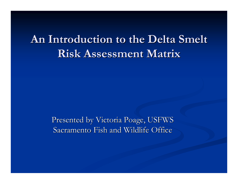#### An Introduction to the Delta Smelt **Risk Assessment Matrix Risk Assessment Matrix**

Presented by Victoria Poage, USFWS Sacramento Fish and Wildlife Office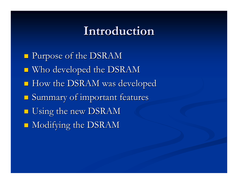#### **Introduction Introduction**

**Purpose of the DSRAM**  $\blacksquare$  Who developed the DSRAM  $\blacksquare$  How the DSRAM was developed  $\blacksquare$  Summary of important features **Using the new DSRAM**  $\blacksquare$  Modifying the DSRAM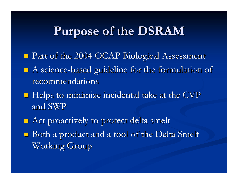### **Purpose of the DSRAM Purpose of the DSRAM**

- Part of the 2004 OCAP Biological Assessment Part of the 2004 OCAP Biological Assessment
- $\blacksquare$  A science-based guideline for the formulation of recommendations recommendations
- $\blacksquare$  Helps to minimize incidental take at the CVP and SWP
- $\blacksquare$  Act proactively to protect delta smelt
- $\blacksquare$  Both a product and a tool of the Delta Smelt Working Group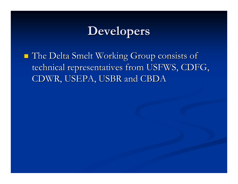### **Developers Developers**

 The Delta Smelt Working Group consists of The Delta Smelt Working Group consists of technical representatives from USFWS, CDFG, CDWR, USEPA, USBR and CBDA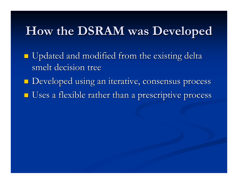### **How the DSRAM was Developed How the DSRAM was Developed**

 $\blacksquare$  Updated and modified from the existing delta smelt decision tree

- $\blacksquare$  Developed using an iterative, consensus process
- $\blacksquare$  Uses a flexible rather than a prescriptive process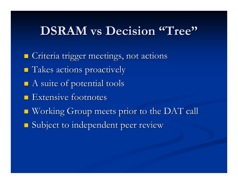#### **DSRAM vs Decision "Tree" Decision "Tree"**

**E** Criteria trigger meetings, not actions Takes actions proactively Takes actions proactively  $\blacksquare$  A suite of potential tools  $\blacksquare$  Extensive footnotes Working Group meets prior to the DAT call Working Group meets prior to the DAT call **Subject to independent peer review**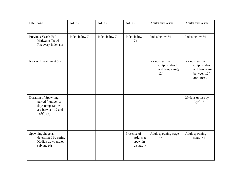| Life Stage                                                                                                  | Adults         | <b>Adults</b>  | Adults                                                     | Adults and larvae                                                       | Adults and larvae                                                           |
|-------------------------------------------------------------------------------------------------------------|----------------|----------------|------------------------------------------------------------|-------------------------------------------------------------------------|-----------------------------------------------------------------------------|
| Previous Year's Fall<br>Midwater Trawl<br>Recovery Index (1)                                                | Index below 74 | Index below 74 | Index below<br>74                                          | Index below 74                                                          | Index below 74                                                              |
| Risk of Entrainment (2)                                                                                     |                |                |                                                            | X2 upstream of<br>Chipps Island<br>and temps are $\geq$<br>$12^{\circ}$ | X2 upstream of<br>Chipps Island<br>and temps are<br>between 12°<br>and 18°C |
| Duration of Spawning<br>period (number of<br>days temperatures<br>are between 12 and<br>$18^{\circ}$ C) (3) |                |                |                                                            |                                                                         | 39 days or less by<br>April 15                                              |
| Spawning Stage as<br>determined by spring<br>Kodiak trawl and/or<br>salvage (4)                             |                |                | Presence of<br>Adults at<br>spawnin<br>g stage $\geq$<br>4 | Adult spawning stage<br>$\geq 4$                                        | Adult spawning<br>stage $\geq$ 4                                            |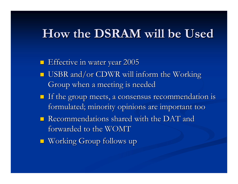#### **How the DSRAM will be Used How the DSRAM will be Used**

- **E** Effective in water year 2005
- USBR and/or CDWR will inform the Working Group when a meeting is needed
- If the group meets, a consensus recommendation is If the group meets, a consensus recommendation is formulated; minority opinions are important too
- $\blacksquare$  Recommendations shared with the DAT and forwarded to the WOMT
- **Norking Group follows up**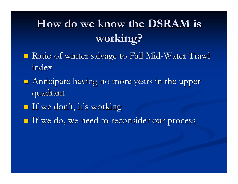## How do we know the DSRAM is **working? working?**

- **Ratio of winter salvage to Fall Mid-Water Trawl** index
- $\blacksquare$  Anticipate having no more years in the upper quadrant quadrant
- If we don't, it's working If we don't, it's working
- If we do, we need to reconsider our process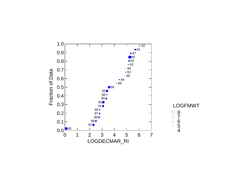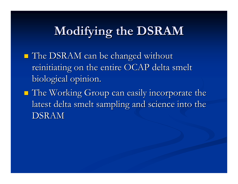# **Modifying the DSRAM Modifying the DSRAM**

- The DSRAM can be changed without The DSRAM can be changed without reinitiating on the entire OCAP delta smelt biological opinion.
- $\blacksquare$  The Working Group can easily incorporate the latest delta smelt sampling and science into the DSRAM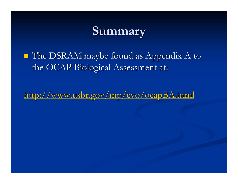#### **Summary Summary**

#### $\blacksquare$  The DSRAM maybe found as Appendix A to the OCAP Biological Assessment at:

http://www.usbr.gov/mp/cvo/ocapBA.html